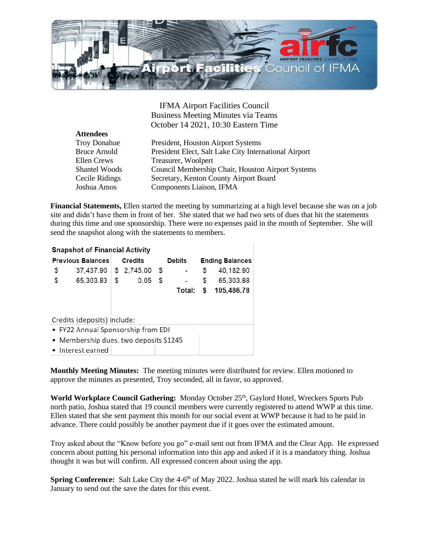

IFMA Airport Facilities Council Business Meeting Minutes via Teams October 14 2021, 10:30 Eastern Time

| <b>Attendees</b>     |                                                       |
|----------------------|-------------------------------------------------------|
| <b>Troy Donahue</b>  | President, Houston Airport Systems                    |
| <b>Bruce Arnold</b>  | President Elect, Salt Lake City International Airport |
| Ellen Crews          | Treasurer, Woolpert                                   |
| <b>Shantel Woods</b> | Council Membership Chair, Houston Airport Systems     |
| Cecile Ridings       | Secretary, Kenton County Airport Board                |
| Joshua Amos          | Components Liaison, IFMA                              |

**Financial Statements,** Ellen started the meeting by summarizing at a high level because she was on a job site and didn't have them in front of her. She stated that we had two sets of dues that hit the statements during this time and one sponsorship. There were no expenses paid in the month of September. She will send the snapshot along with the statements to members.

## **Snapshot of Financial Activity**

| <b>Previous Balances</b> |                          | Credits |  | Debits |  | <b>Ending Balances</b> |                      |
|--------------------------|--------------------------|---------|--|--------|--|------------------------|----------------------|
| S.                       | 37,437.90 \$ 2,745.00 \$ |         |  |        |  |                        | $-$ \$ 40,182.90     |
| - S                      | 65,303.83 \$ 0.05 \$     |         |  |        |  |                        | $-$ \$ 65,303.88     |
|                          |                          |         |  |        |  |                        | Total: \$ 105,486.78 |

Credits (deposits) include:

- FY22 Annual Sponsorship from EDI
- Membership dues, two deposits \$1245
- Interest earned

**Monthly Meeting Minutes:** The meeting minutes were distributed for review. Ellen motioned to approve the minutes as presented, Troy seconded, all in favor, so approved.

**World Workplace Council Gathering:** Monday October 25<sup>th</sup>, Gaylord Hotel, Wreckers Sports Pub north patio, Joshua stated that 19 council members were currently registered to attend WWP at this time. Ellen stated that she sent payment this month for our social event at WWP because it had to be paid in advance. There could possibly be another payment due if it goes over the estimated amount.

Troy asked about the "Know before you go" e-mail sent out from IFMA and the Clear App. He expressed concern about putting his personal information into this app and asked if it is a mandatory thing. Joshua thought it was but will confirm. All expressed concern about using the app.

**Spring Conference:** Salt Lake City the 4-6<sup>th</sup> of May 2022. Joshua stated he will mark his calendar in January to send out the save the dates for this event.